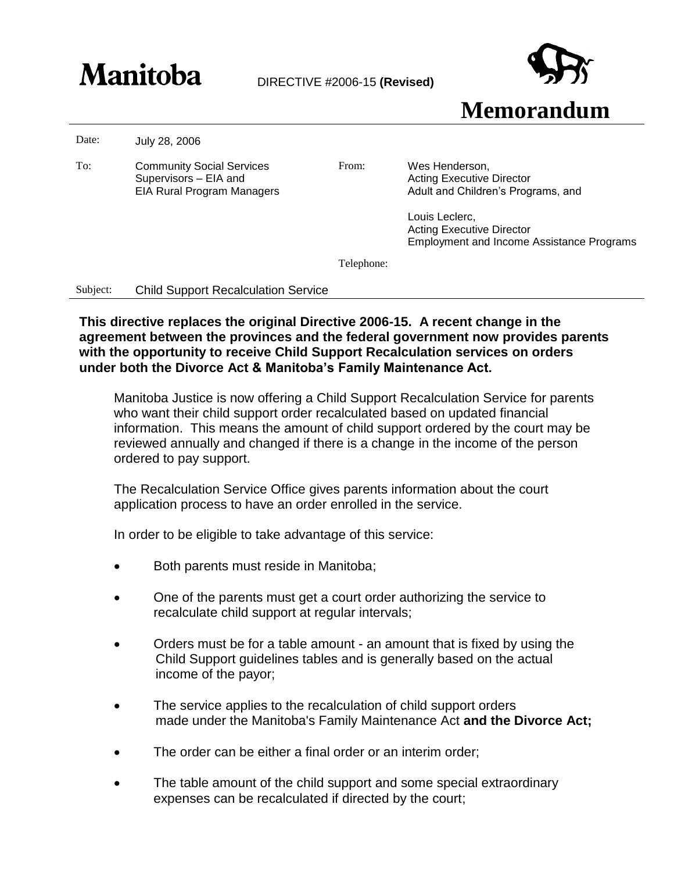## **Manitoba** DIRECTIVE #2006-15 (Revised)



**Memorandum**

Date: July 28, 2006

To: Community Social Services Supervisors – EIA and EIA Rural Program Managers

From: Wes Henderson, Acting Executive Director Adult and Children's Programs, and

> Louis Leclerc, Acting Executive Director Employment and Income Assistance Programs

Telephone:

Subject: Child Support Recalculation Service

**This directive replaces the original Directive 2006-15. A recent change in the agreement between the provinces and the federal government now provides parents with the opportunity to receive Child Support Recalculation services on orders under both the Divorce Act & Manitoba's Family Maintenance Act.**

Manitoba Justice is now offering a Child Support Recalculation Service for parents who want their child support order recalculated based on updated financial information. This means the amount of child support ordered by the court may be reviewed annually and changed if there is a change in the income of the person ordered to pay support.

The Recalculation Service Office gives parents information about the court application process to have an order enrolled in the service.

In order to be eligible to take advantage of this service:

- Both parents must reside in Manitoba;
- One of the parents must get a court order authorizing the service to recalculate child support at regular intervals;
- Orders must be for a table amount an amount that is fixed by using the Child Support guidelines tables and is generally based on the actual income of the payor;
- The service applies to the recalculation of child support orders made under the Manitoba's Family Maintenance Act **and the Divorce Act;**
- The order can be either a final order or an interim order;
- The table amount of the child support and some special extraordinary expenses can be recalculated if directed by the court;